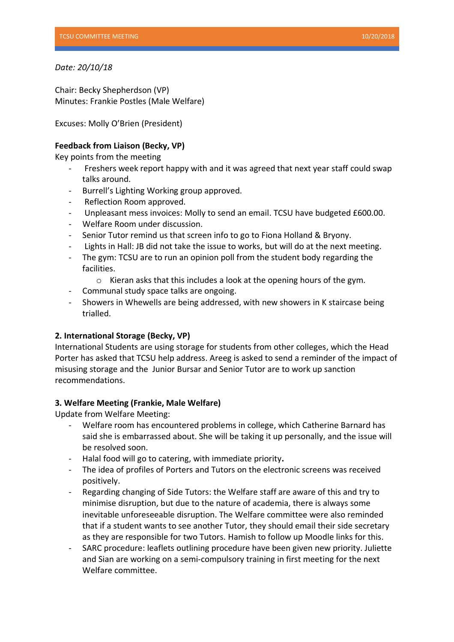### *Date: 20/10/18*

Chair: Becky Shepherdson (VP) Minutes: Frankie Postles (Male Welfare)

Excuses: Molly O'Brien (President)

# **Feedback from Liaison (Becky, VP)**

Key points from the meeting

- Freshers week report happy with and it was agreed that next year staff could swap talks around.
- Burrell's Lighting Working group approved.
- Reflection Room approved.
- Unpleasant mess invoices: Molly to send an email. TCSU have budgeted £600.00.
- Welfare Room under discussion.
- Senior Tutor remind us that screen info to go to Fiona Holland & Bryony.
- Lights in Hall: JB did not take the issue to works, but will do at the next meeting.
- The gym: TCSU are to run an opinion poll from the student body regarding the facilities.
	- $\circ$  Kieran asks that this includes a look at the opening hours of the gym.
- Communal study space talks are ongoing.
- Showers in Whewells are being addressed, with new showers in K staircase being trialled.

## **2. International Storage (Becky, VP)**

International Students are using storage for students from other colleges, which the Head Porter has asked that TCSU help address. Areeg is asked to send a reminder of the impact of misusing storage and the Junior Bursar and Senior Tutor are to work up sanction recommendations.

## **3. Welfare Meeting (Frankie, Male Welfare)**

Update from Welfare Meeting:

- Welfare room has encountered problems in college, which Catherine Barnard has said she is embarrassed about. She will be taking it up personally, and the issue will be resolved soon.
- Halal food will go to catering, with immediate priority**.**
- The idea of profiles of Porters and Tutors on the electronic screens was received positively.
- Regarding changing of Side Tutors: the Welfare staff are aware of this and try to minimise disruption, but due to the nature of academia, there is always some inevitable unforeseeable disruption. The Welfare committee were also reminded that if a student wants to see another Tutor, they should email their side secretary as they are responsible for two Tutors. Hamish to follow up Moodle links for this.
- SARC procedure: leaflets outlining procedure have been given new priority. Juliette and Sian are working on a semi-compulsory training in first meeting for the next Welfare committee.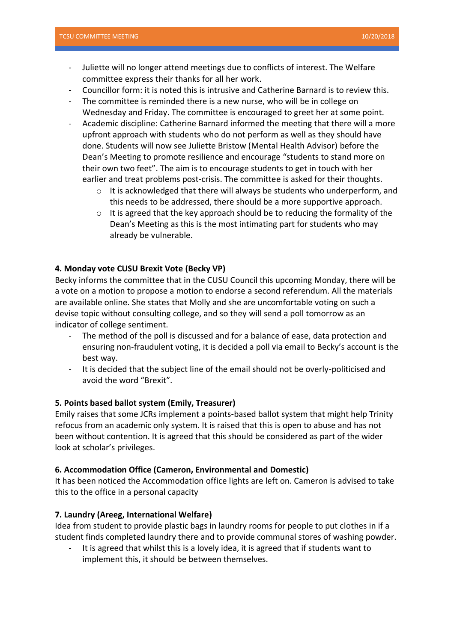- Juliette will no longer attend meetings due to conflicts of interest. The Welfare committee express their thanks for all her work.
- Councillor form: it is noted this is intrusive and Catherine Barnard is to review this.
- The committee is reminded there is a new nurse, who will be in college on Wednesday and Friday. The committee is encouraged to greet her at some point.
- Academic discipline: Catherine Barnard informed the meeting that there will a more upfront approach with students who do not perform as well as they should have done. Students will now see Juliette Bristow (Mental Health Advisor) before the Dean's Meeting to promote resilience and encourage "students to stand more on their own two feet". The aim is to encourage students to get in touch with her earlier and treat problems post-crisis. The committee is asked for their thoughts.
	- o It is acknowledged that there will always be students who underperform, and this needs to be addressed, there should be a more supportive approach.
	- $\circ$  It is agreed that the key approach should be to reducing the formality of the Dean's Meeting as this is the most intimating part for students who may already be vulnerable.

### **4. Monday vote CUSU Brexit Vote (Becky VP)**

Becky informs the committee that in the CUSU Council this upcoming Monday, there will be a vote on a motion to propose a motion to endorse a second referendum. All the materials are available online. She states that Molly and she are uncomfortable voting on such a devise topic without consulting college, and so they will send a poll tomorrow as an indicator of college sentiment.

- The method of the poll is discussed and for a balance of ease, data protection and ensuring non-fraudulent voting, it is decided a poll via email to Becky's account is the best way.
- It is decided that the subject line of the email should not be overly-politicised and avoid the word "Brexit".

#### **5. Points based ballot system (Emily, Treasurer)**

Emily raises that some JCRs implement a points-based ballot system that might help Trinity refocus from an academic only system. It is raised that this is open to abuse and has not been without contention. It is agreed that this should be considered as part of the wider look at scholar's privileges.

#### **6. Accommodation Office (Cameron, Environmental and Domestic)**

It has been noticed the Accommodation office lights are left on. Cameron is advised to take this to the office in a personal capacity

#### **7. Laundry (Areeg, International Welfare)**

Idea from student to provide plastic bags in laundry rooms for people to put clothes in if a student finds completed laundry there and to provide communal stores of washing powder.

It is agreed that whilst this is a lovely idea, it is agreed that if students want to implement this, it should be between themselves.